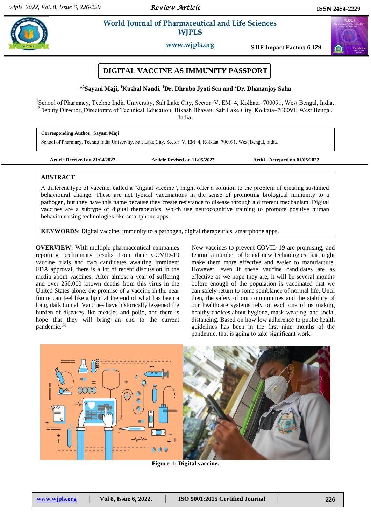*Review Article* 

 $\alpha$ 

#### **Sayani** *et al.* **2011 World Journal of Pharmaceutical and Life Sciences and Life Science in the state of the state of the state of the state of the state of the state of the state of the state of the state of the state of**  **World Journal of Pharmaceutical and Life Sciences WJPLS**

**www.wjpls.org SJIF Impact Factor: 6.129**

# **DIGITAL VACCINE AS IMMUNITY PASSPORT**

**\* 1 Sayani Maji, <sup>1</sup>Kushal Nandi, <sup>1</sup>Dr. Dhrubo Jyoti Sen and <sup>2</sup>Dr. Dhananjoy Saha**

<sup>1</sup>School of Pharmacy, Techno India University, Salt Lake City, Sector-V, EM-4, Kolkata-700091, West Bengal, India. <sup>2</sup>Deputy Director, Directorate of Technical Education, Bikash Bhavan, Salt Lake City, Kolkata–700091, West Bengal, India.

**Corresponding Author: Sayani Maji** School of Pharmacy, Techno India University, Salt Lake City, Sector-V, EM-4, Kolkata-700091, West Bengal, India.

**Article Received on 21/04/2022 Article Revised on 11/05/2022 Article Accepted on 01/06/2022**

## **ABSTRACT**

A different type of vaccine, called a "digital vaccine", might offer a solution to the problem of creating sustained behavioural change. These are not typical vaccinations in the sense of promoting biological immunity to a pathogen, but they have this name because they create resistance to disease through a different mechanism. Digital vaccines are a subtype of digital therapeutics, which use neurocognitive training to promote positive human behaviour using technologies like smartphone apps.

**KEYWORDS**: Digital vaccine, immunity to a pathogen, digital therapeutics, smartphone apps.

**OVERVIEW:** With multiple pharmaceutical companies reporting preliminary results from their COVID-19 vaccine trials and two candidates awaiting imminent FDA approval, there is a lot of recent discussion in the media about vaccines. After almost a year of suffering and over 250,000 known deaths from this virus in the United States alone, the promise of a vaccine in the near future can feel like a light at the end of what has been a long, dark tunnel. Vaccines have historically lessened the burden of diseases like measles and polio, and there is hope that they will bring an end to the current pandemic.<sup>[1]</sup>

New vaccines to prevent COVID-19 are promising, and feature a number of brand new technologies that might make them more effective and easier to manufacture. However, even if these vaccine candidates are as effective as we hope they are, it will be several months before enough of the population is vaccinated that we can safely return to some semblance of normal life. Until then, the safety of our communities and the stability of our healthcare systems rely on each one of us making healthy choices about hygiene, mask-wearing, and social distancing. Based on how low adherence to public health guidelines has been in the first nine months of the pandemic, that is going to take significant work.



**Figure-1: Digital vaccine.**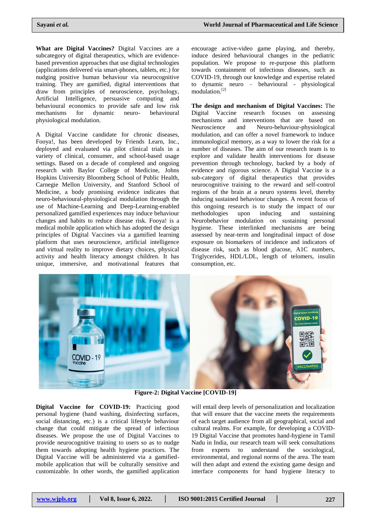**What are Digital Vaccines?** Digital Vaccines are a subcategory of digital therapeutics, which are evidencebased prevention approaches that use digital technologies (applications delivered via smart-phones, tablets, etc.) for nudging positive human behaviour via neurocognitive training. They are gamified, digital interventions that draw from principles of neuroscience, psychology, Artificial Intelligence, persuasive computing and behavioural economics to provide safe and low risk mechanisms for dynamic neuro- behavioural physiological modulation.

A Digital Vaccine candidate for chronic diseases, Fooya!, has been developed by Friends Learn, Inc., deployed and evaluated via pilot clinical trials in a variety of clinical, consumer, and school-based usage settings. Based on a decade of completed and ongoing research with Baylor College of Medicine, Johns Hopkins University Bloomberg School of Public Health, Carnegie Mellon University, and Stanford School of Medicine, a body promising evidence indicates that neuro-behavioural-physiological modulation through the use of Machine-Learning and Deep-Learning-enabled personalized gamified experiences may induce behaviour changes and habits to reduce disease risk. Fooya! is a medical mobile application which has adopted the design principles of Digital Vaccines via a gamified learning platform that uses neuroscience, artificial intelligence and virtual reality to improve dietary choices, physical activity and health literacy amongst children. It has unique, immersive, and motivational features that

encourage active-video game playing, and thereby, induce desired behavioural changes in the pediatric population. We propose to re-purpose this platform towards containment of infectious diseases, such as COVID-19, through our knowledge and expertise related to dynamic neuro – behavioural - physiological modulation.[2]

**The design and mechanism of Digital Vaccines:** The Digital Vaccine research focuses on assessing mechanisms and interventions that are based on Neuroscience and Neuro-behaviour-physiological modulation, and can offer a novel framework to induce immunological memory, as a way to lower the risk for a number of diseases. The aim of our research team is to explore and validate health interventions for disease prevention through technology, backed by a body of evidence and rigorous science. A Digital Vaccine is a sub-category of digital therapeutics that provides neurocognitive training to the reward and self-control regions of the brain at a neuro systems level, thereby inducing sustained behaviour changes. A recent focus of this ongoing research is to study the impact of our methodologies upon inducing and sustaining Neurobehavior modulation on sustaining personal hygiene. These interlinked mechanisms are being assessed by near-term and longitudinal impact of dose exposure on biomarkers of incidence and indicators of disease risk, such as blood glucose, A1C numbers, Triglycerides, HDL/LDL, length of telomers, insulin consumption, etc.



**Figure-2: Digital Vaccine [COVID-19]**

**Digital Vaccine for COVID-19:** Practicing good personal hygiene (hand washing, disinfecting surfaces, social distancing, etc.) is a critical lifestyle behaviour change that could mitigate the spread of infectious diseases. We propose the use of Digital Vaccines to provide neurocognitive training to users so as to nudge them towards adopting health hygiene practices. The Digital Vaccine will be administered via a gamifiedmobile application that will be culturally sensitive and customizable. In other words, the gamified application

will entail deep levels of personalization and localization that will ensure that the vaccine meets the requirements of each target audience from all geographical, social and cultural realms. For example, for developing a COVID-19 Digital Vaccine that promotes hand-hygiene in Tamil Nadu in India, our research team will seek consultations from experts to understand the sociological, environmental, and regional norms of the area. The team will then adapt and extend the existing game design and interface components for hand hygiene literacy to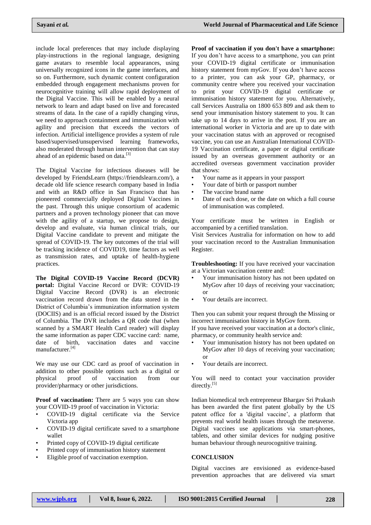include local preferences that may include displaying play-instructions in the regional language, designing game avatars to resemble local appearances, using universally recognized icons in the game interfaces, and so on. Furthermore, such dynamic content configuration embedded through engagement mechanisms proven for neurocognitive training will allow rapid deployment of the Digital Vaccine. This will be enabled by a neural network to learn and adapt based on live and forecasted streams of data. In the case of a rapidly changing virus, we need to approach containment and immunization with agility and precision that exceeds the vectors of infection. Artificial intelligence provides a system of rule based/supervised/unsupervised learning frameworks, also moderated through human intervention that can stay ahead of an epidemic based on data.<sup>[3]</sup>

The Digital Vaccine for infectious diseases will be developed by FriendsLearn (https://friendslearn.com/), a decade old life science research company based in India and with an R&D office in San Francisco that has pioneered commercially deployed Digital Vaccines in the past. Through this unique consortium of academic partners and a proven technology pioneer that can move with the agility of a startup, we propose to design, develop and evaluate, via human clinical trials, our Digital Vaccine candidate to prevent and mitigate the spread of COVID-19. The key outcomes of the trial will be tracking incidence of COVID19, time factors as well as transmission rates, and uptake of health-hygiene practices.

**The Digital COVID-19 Vaccine Record (DCVR) portal:** Digital Vaccine Record or DVR: COVID-19 Digital Vaccine Record (DVR) is an electronic vaccination record drawn from the data stored in the District of Columbia's immunization information system (DOCIIS) and is an official record issued by the District of Columbia. The DVR includes a QR code that (when scanned by a SMART Health Card reader) will display the same information as paper CDC vaccine card: name, date of birth, vaccination dates and vaccine manufacturer.[4]

We may use our CDC card as proof of vaccination in addition to other possible options such as a digital or physical proof of vaccination from our provider/pharmacy or other jurisdictions.

**Proof of vaccination:** There are 5 ways you can show your COVID-19 proof of vaccination in Victoria:

- COVID-19 digital certificate via the Service Victoria app
- COVID-19 digital certificate saved to a smartphone wallet
- Printed copy of COVID-19 digital certificate
- Printed copy of immunisation history statement
- Eligible proof of vaccination exemption.

**Proof of vaccination if you don't have a smartphone:**  If you don't have access to a smartphone, you can print your COVID-19 digital certificate or immunisation history statement from myGov. If you don't have access to a printer, you can ask your GP, pharmacy, or community centre where you received your vaccination to print your COVID-19 digital certificate or immunisation history statement for you. Alternatively, call Services Australia on 1800 653 809 and ask them to send your immunisation history statement to you. It can take up to 14 days to arrive in the post. If you are an international worker in Victoria and are up to date with your vaccination status with an approved or recognised vaccine, you can use an Australian International COVID-19 Vaccination certificate, a paper or digital certificate issued by an overseas government authority or an accredited overseas government vaccination provider that shows:

- Your name as it appears in your passport
- Your date of birth or passport number
- The vaccine brand name
- Date of each dose, or the date on which a full course of immunisation was completed.

Your certificate must be written in English or accompanied by a certified translation.

Visit Services Australia for information on how to add your vaccination record to the Australian Immunisation Register.

**Troubleshooting:** If you have received your vaccination at a Victorian vaccination centre and:

- Your immunisation history has not been updated on MyGov after 10 days of receiving your vaccination; or
- Your details are incorrect.

Then you can submit your request through the Missing or incorrect immunisation history in MyGov form.

If you have received your vaccination at a doctor's clinic, pharmacy, or community health service and:

- Your immunisation history has not been updated on MyGov after 10 days of receiving your vaccination; or
- Your details are incorrect.

You will need to contact your vaccination provider directly.<sup>[5]</sup>

Indian biomedical tech entrepreneur Bhargav Sri Prakash has been awarded the first patent globally by the US patent office for a 'digital vaccine', a platform that prevents real world health issues through the metaverse. Digital vaccines use applications via smart-phones, tablets, and other similar devices for nudging positive human behaviour through neurocognitive training.

## **CONCLUSION**

Digital vaccines are envisioned as evidence-based prevention approaches that are delivered via smart